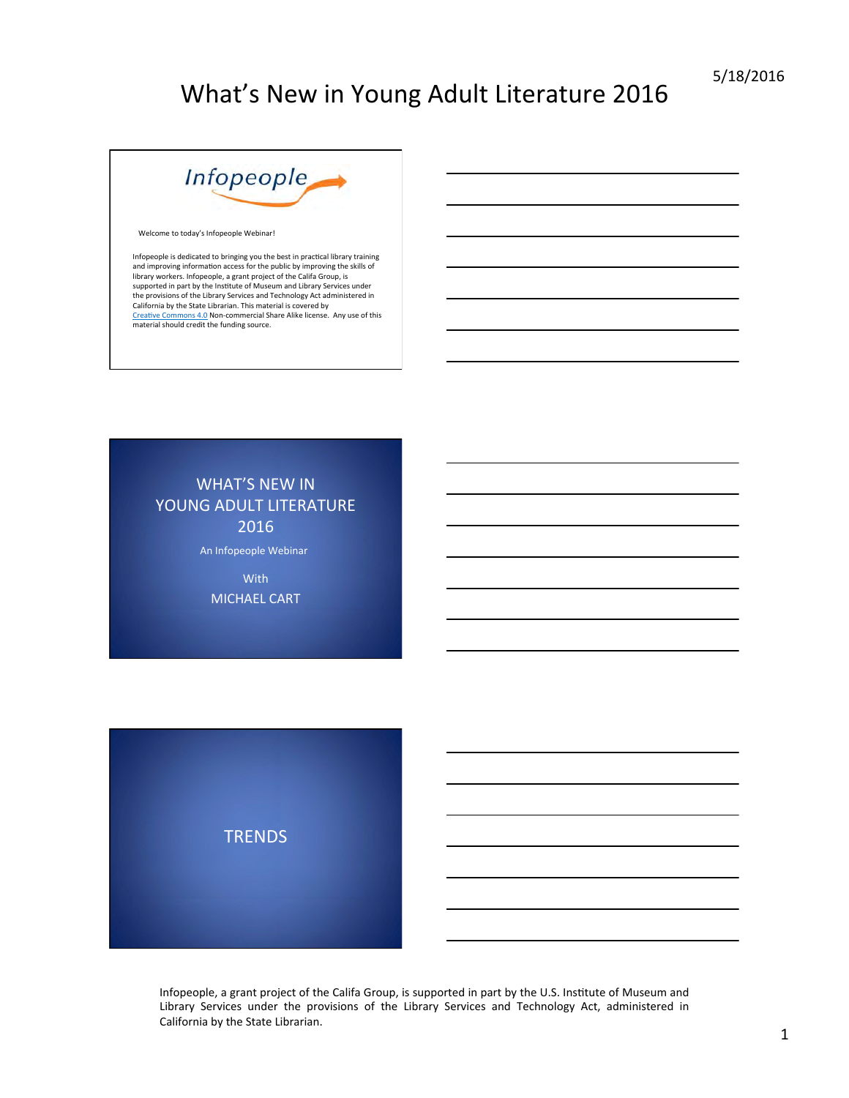

Welcome to today's Infopeople Webinar!

Infopeople is dedicated to bringing you the best in practical library training<br>and improving information access for the public by improving the skills of<br>library workers. Infopeople, a grant project of the Califa Group, is the provisions of the Library Services and Technology Act administered in<br>California by the State Librarian. This material is covered by<br><u>Creative Commons 4.0</u> Non-commercial Share Alike license. Any use of this material should credit the funding source.

**WHAT'S NEW IN** YOUNG ADULT LITERATURE 2016 

An Infopeople Webinar

**With MICHAEL CART** 

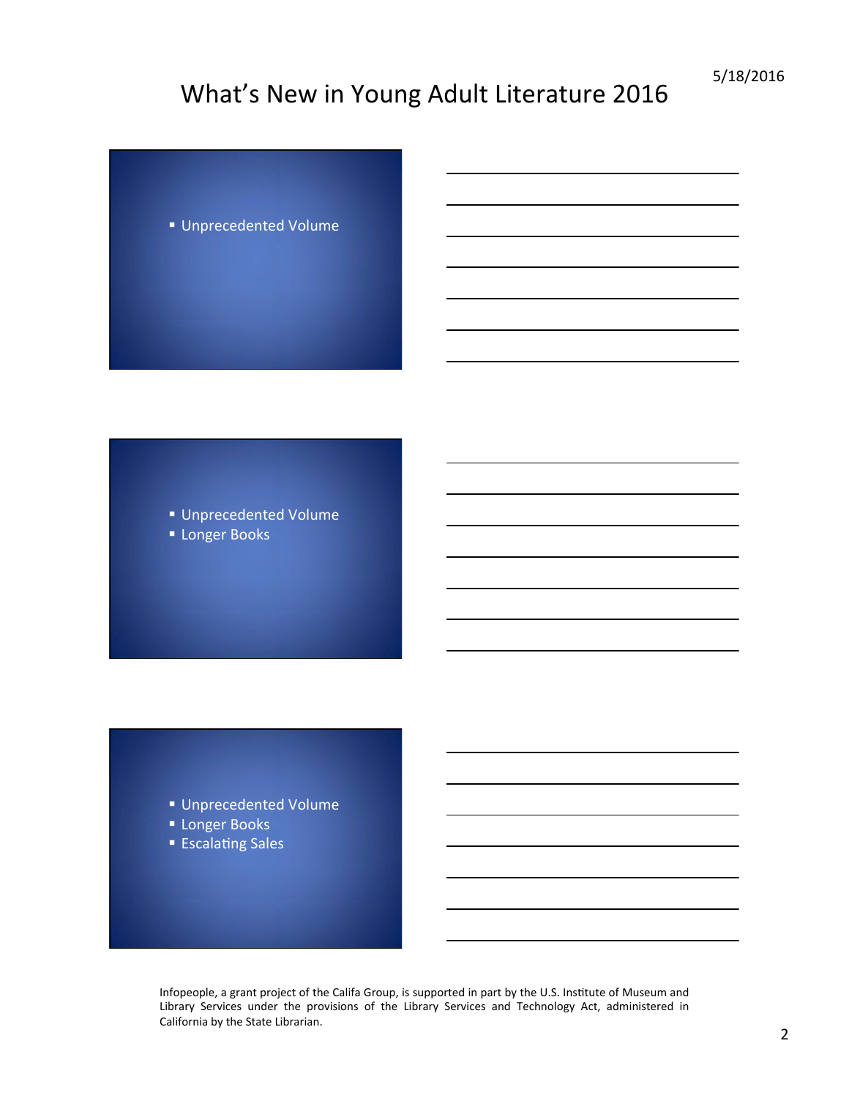■ Unprecedented Volume

■ Unprecedented Volume ■ Longer Books

- Unprecedented Volume
- **Longer Books**
- Escalating Sales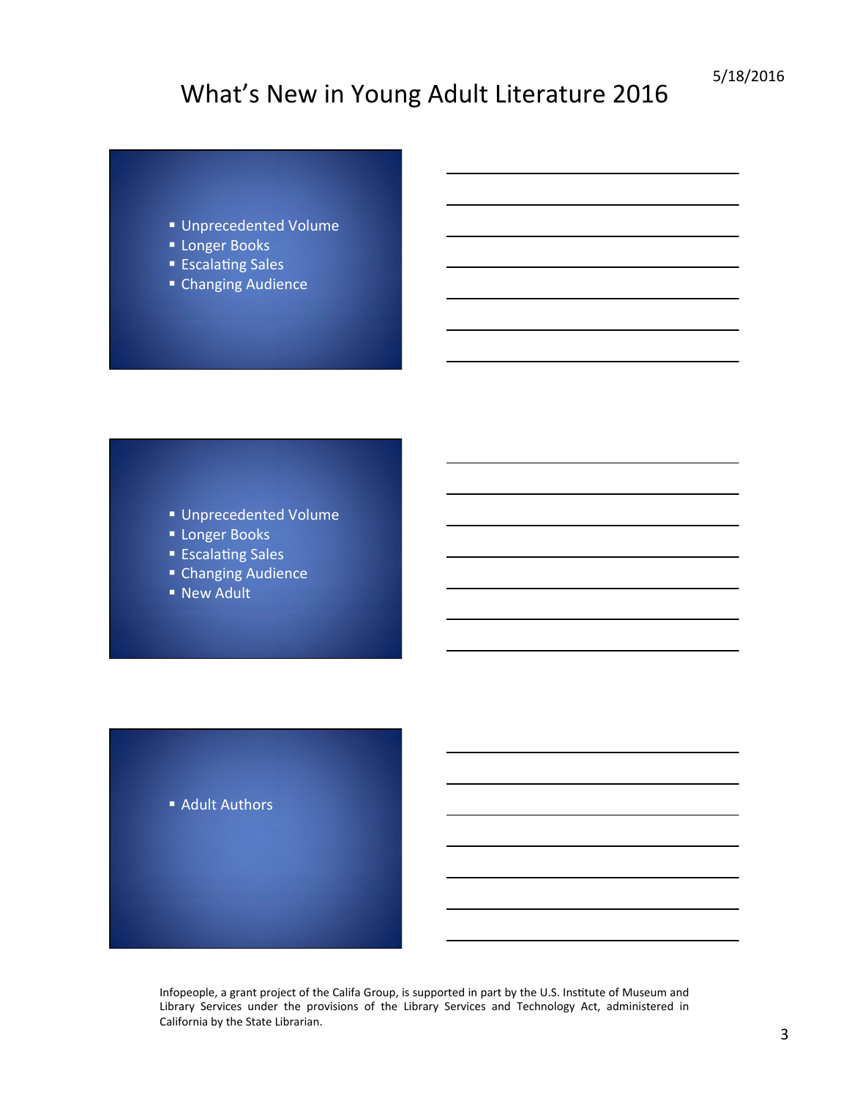- § Unprecedented Volume
- Longer Books
- Escalating Sales
- Changing Audience

- Unprecedented Volume
- Longer Books
- Escalating Sales
- Changing Audience
- New Adult

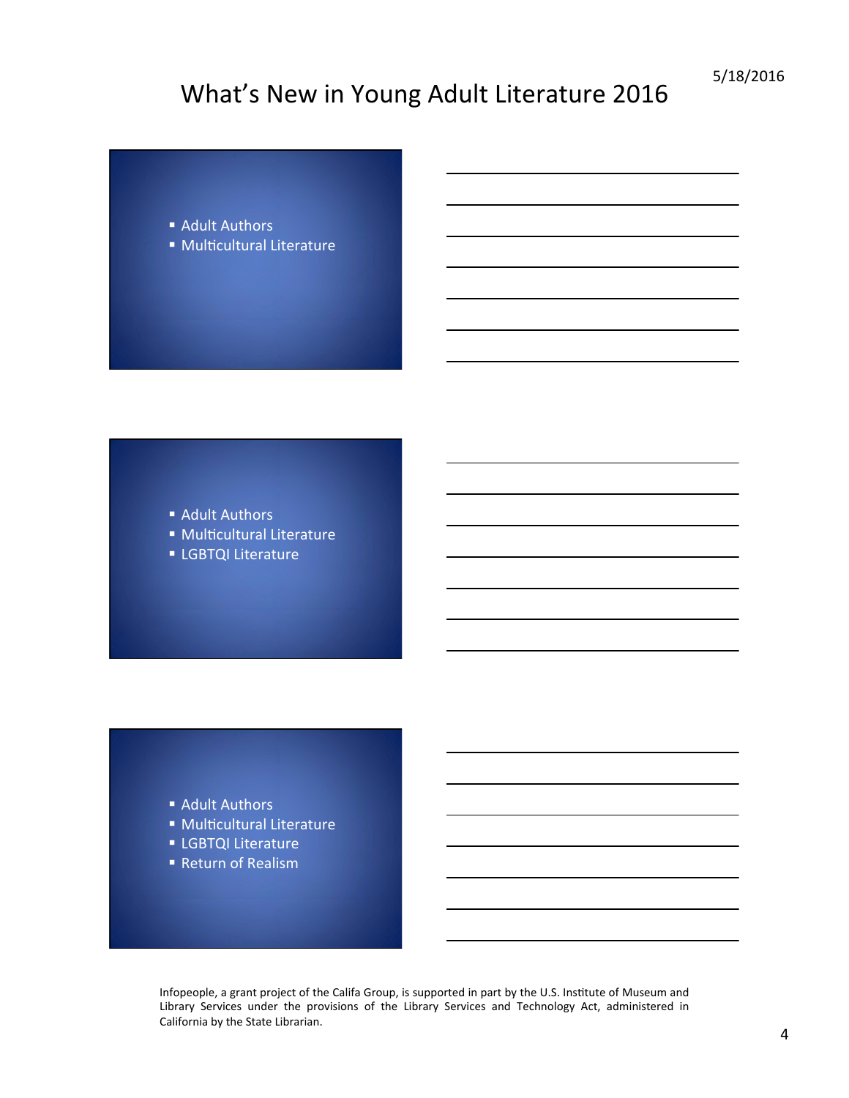- Adult Authors
- Multicultural Literature

- Adult Authors
- Multicultural Literature
- LGBTQI Literature

- Adult Authors
- Multicultural Literature
- **E** LGBTQI Literature
- Return of Realism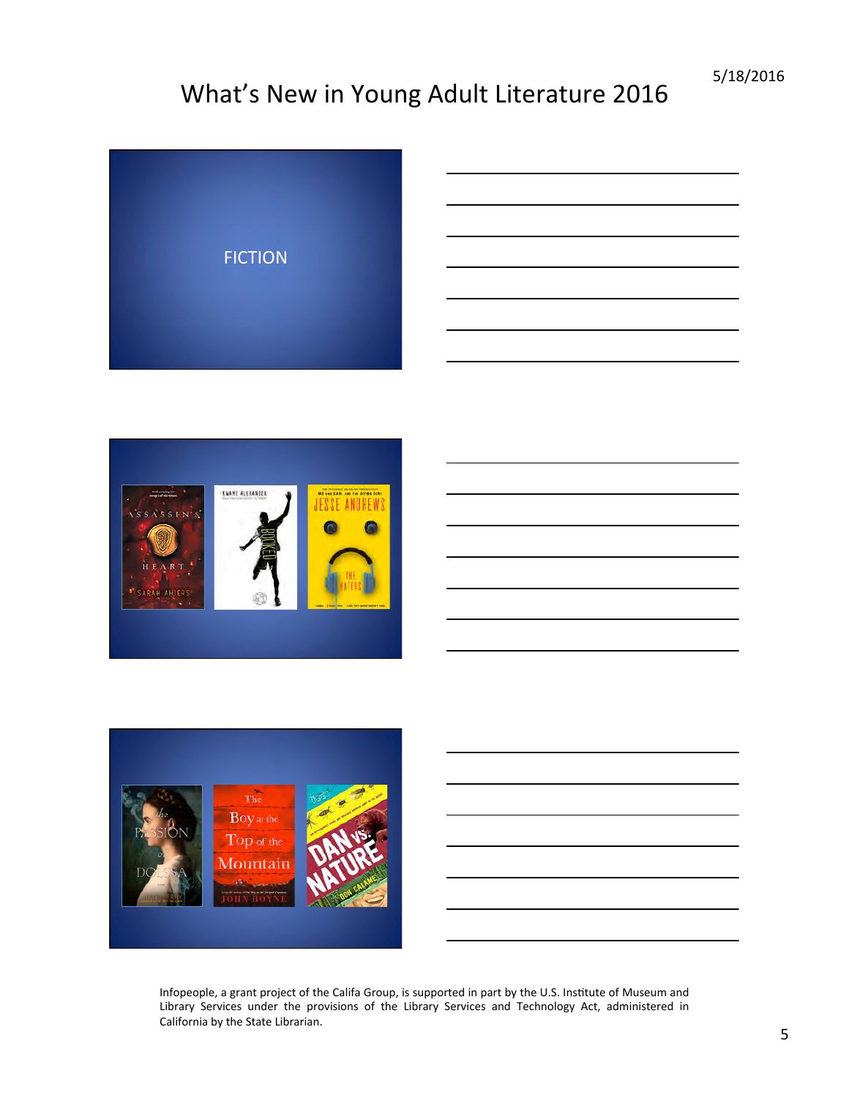



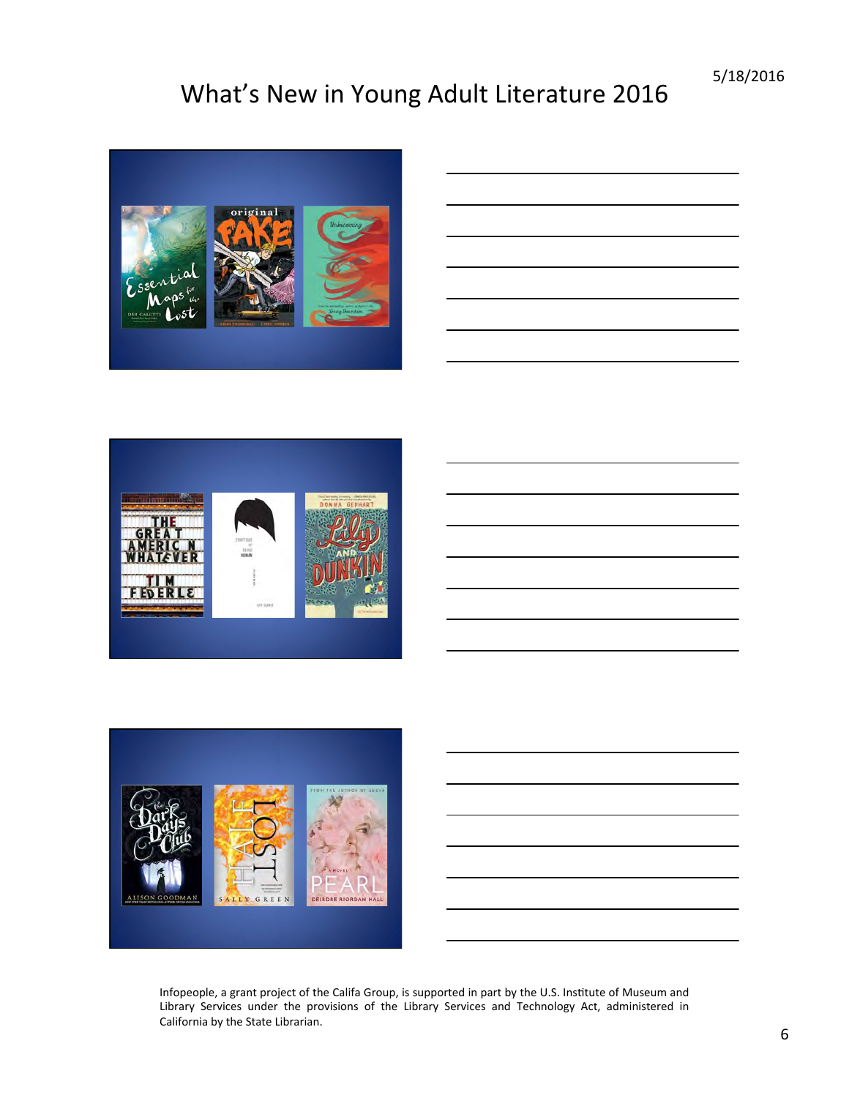

|                                                                                 | ___ |
|---------------------------------------------------------------------------------|-----|
|                                                                                 |     |
|                                                                                 | ___ |
|                                                                                 |     |
|                                                                                 |     |
|                                                                                 |     |
|                                                                                 |     |
| the contract of the contract of the contract of the contract of the contract of |     |



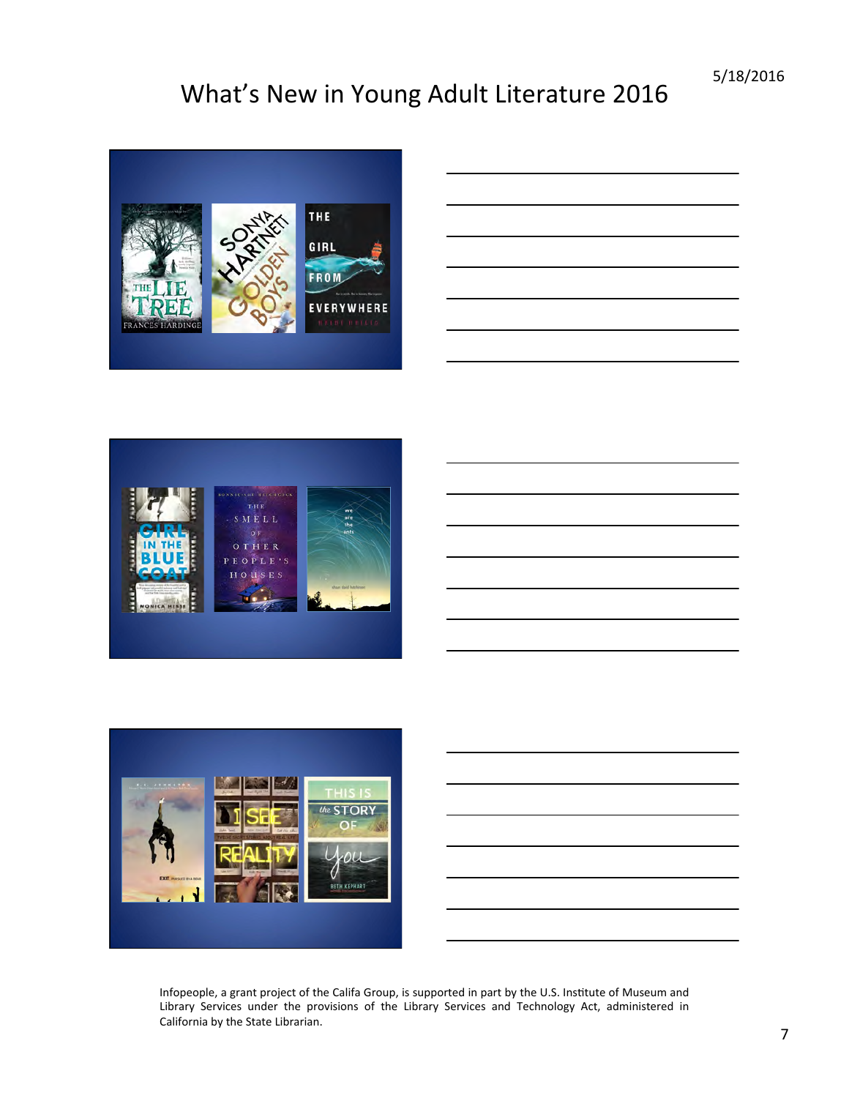





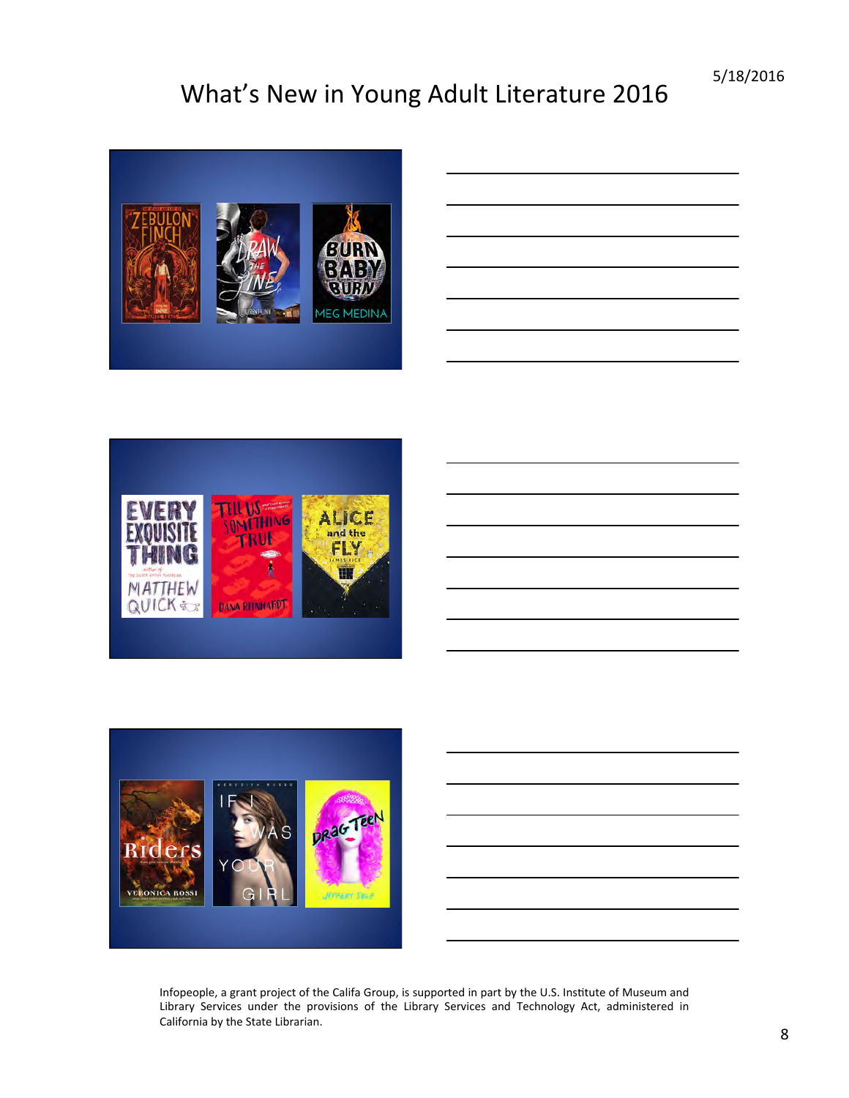

| - |    |
|---|----|
|   |    |
|   |    |
|   |    |
|   | __ |
|   |    |
|   |    |
|   |    |
|   |    |
|   |    |
|   |    |



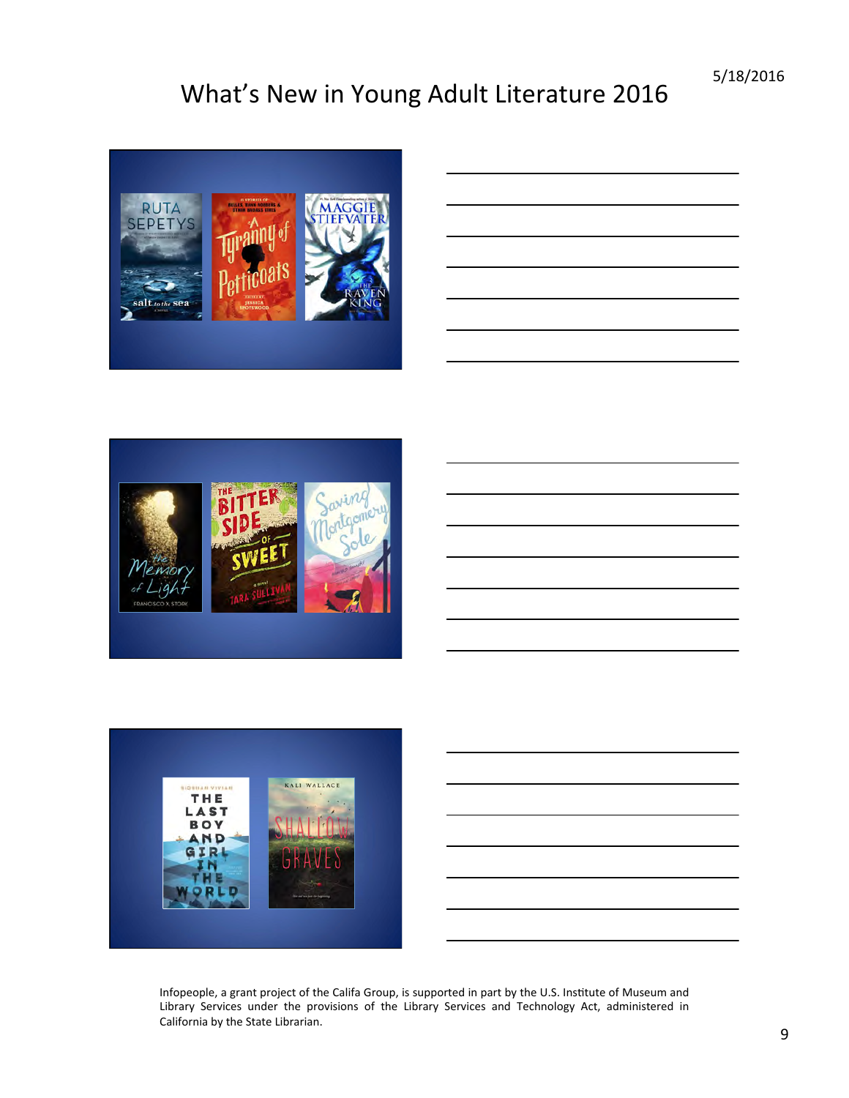





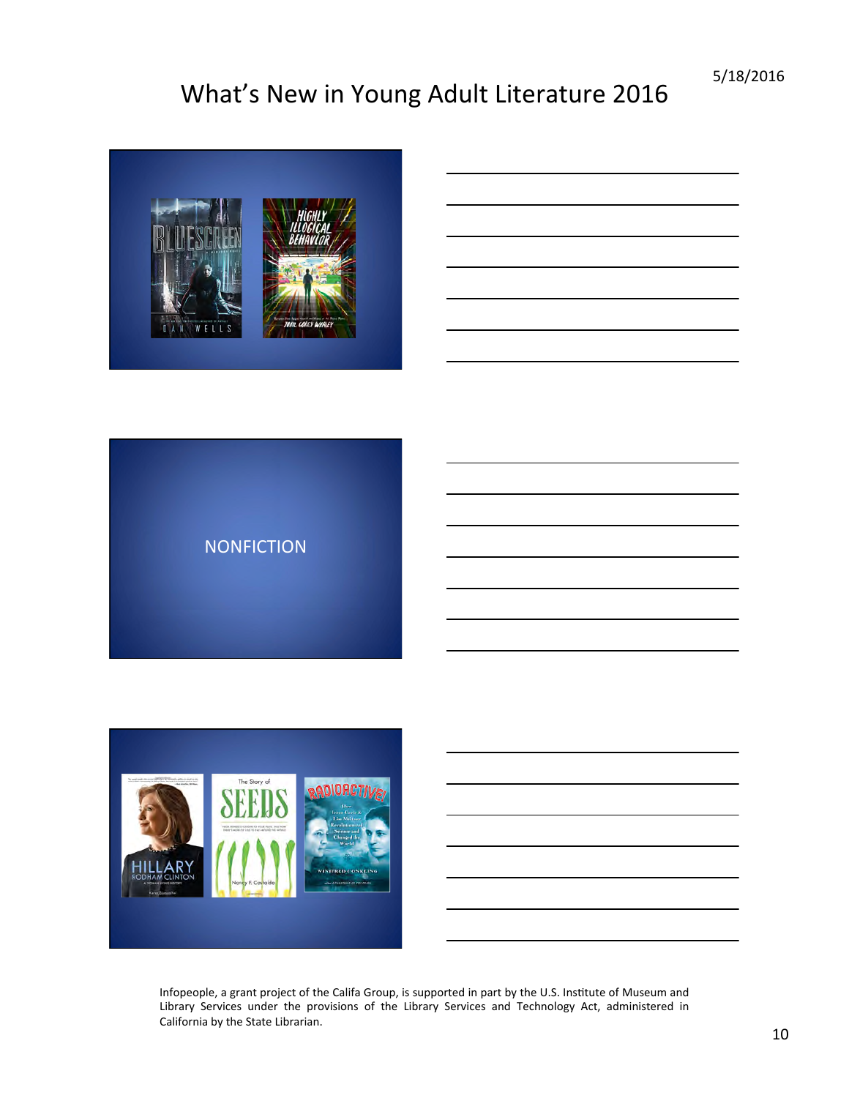



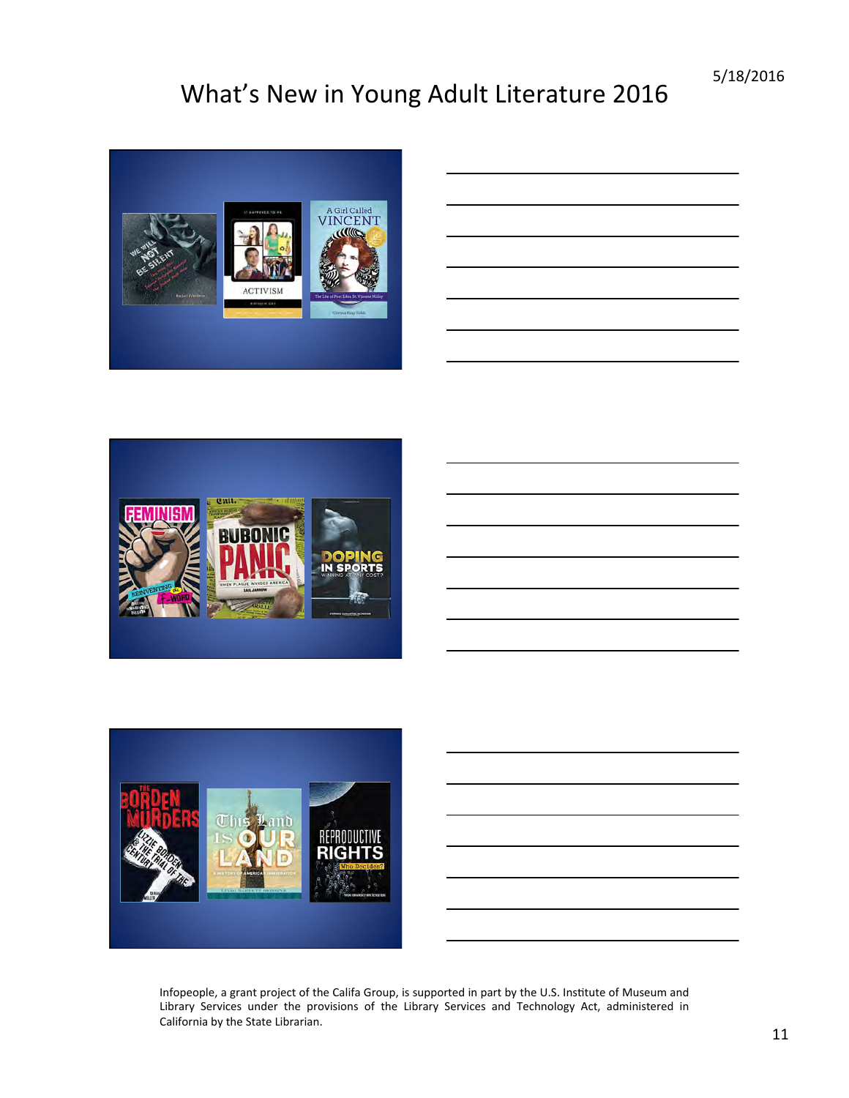

| ______ |  |
|--------|--|
|        |  |
|        |  |
|        |  |
|        |  |
|        |  |
|        |  |
|        |  |
|        |  |
|        |  |
|        |  |
|        |  |
|        |  |



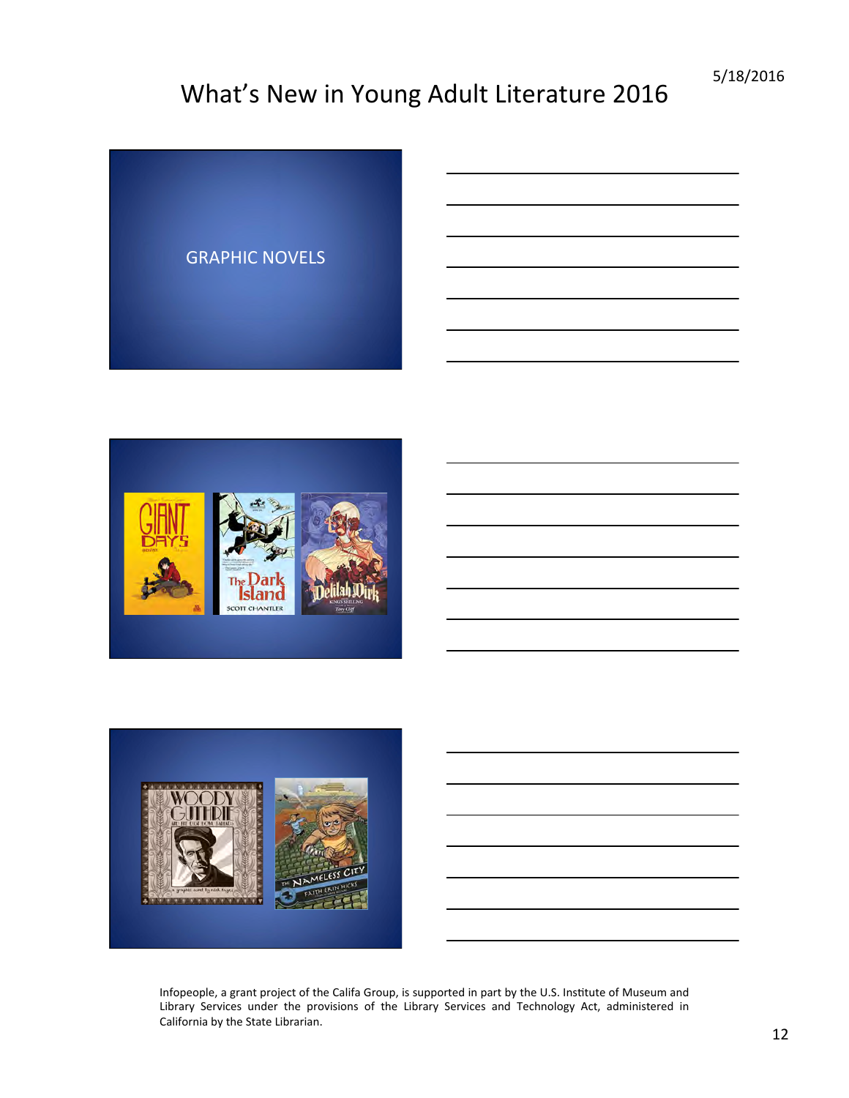



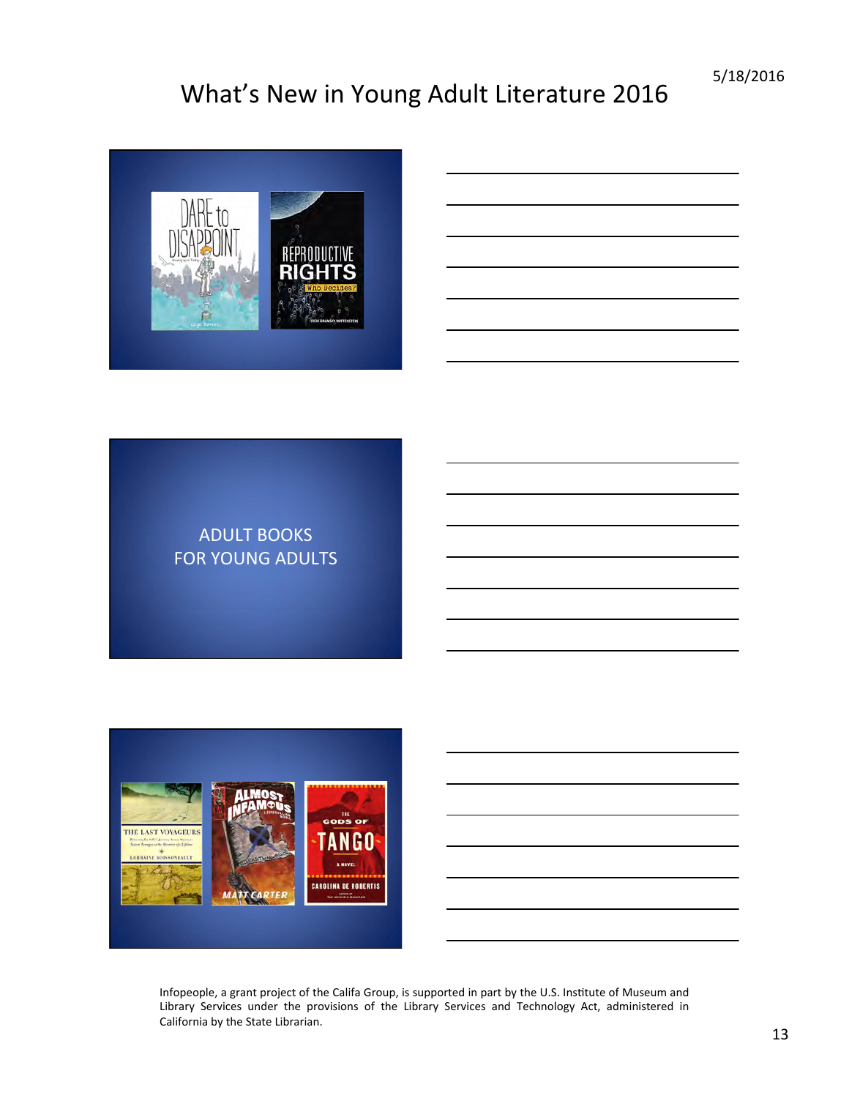

#### **ADULT BOOKS** FOR YOUNG ADULTS